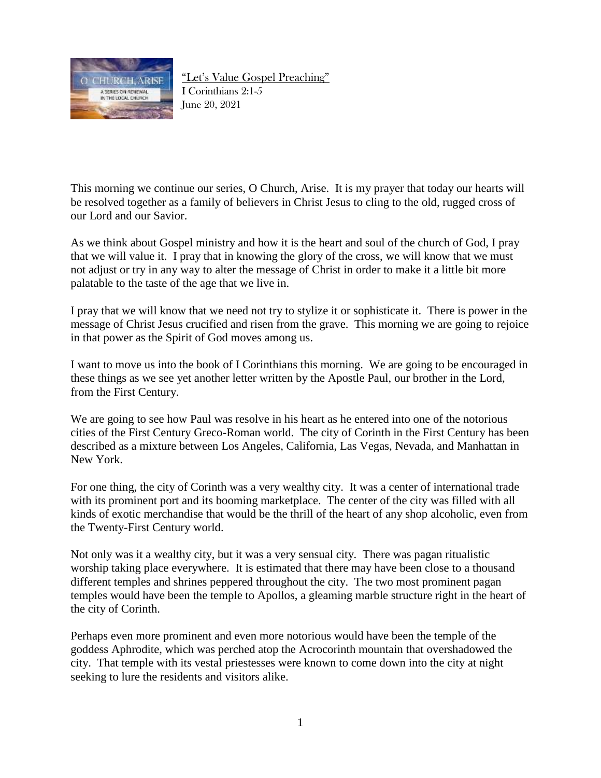

"Let's Value Gospel Preaching"

I Corinthians 2:1-5 June 20, 2021

This morning we continue our series, O Church, Arise. It is my prayer that today our hearts will be resolved together as a family of believers in Christ Jesus to cling to the old, rugged cross of our Lord and our Savior.

As we think about Gospel ministry and how it is the heart and soul of the church of God, I pray that we will value it. I pray that in knowing the glory of the cross, we will know that we must not adjust or try in any way to alter the message of Christ in order to make it a little bit more palatable to the taste of the age that we live in.

I pray that we will know that we need not try to stylize it or sophisticate it. There is power in the message of Christ Jesus crucified and risen from the grave. This morning we are going to rejoice in that power as the Spirit of God moves among us.

I want to move us into the book of I Corinthians this morning. We are going to be encouraged in these things as we see yet another letter written by the Apostle Paul, our brother in the Lord, from the First Century.

We are going to see how Paul was resolve in his heart as he entered into one of the notorious cities of the First Century Greco-Roman world. The city of Corinth in the First Century has been described as a mixture between Los Angeles, California, Las Vegas, Nevada, and Manhattan in New York.

For one thing, the city of Corinth was a very wealthy city. It was a center of international trade with its prominent port and its booming marketplace. The center of the city was filled with all kinds of exotic merchandise that would be the thrill of the heart of any shop alcoholic, even from the Twenty-First Century world.

Not only was it a wealthy city, but it was a very sensual city. There was pagan ritualistic worship taking place everywhere. It is estimated that there may have been close to a thousand different temples and shrines peppered throughout the city. The two most prominent pagan temples would have been the temple to Apollos, a gleaming marble structure right in the heart of the city of Corinth.

Perhaps even more prominent and even more notorious would have been the temple of the goddess Aphrodite, which was perched atop the Acrocorinth mountain that overshadowed the city. That temple with its vestal priestesses were known to come down into the city at night seeking to lure the residents and visitors alike.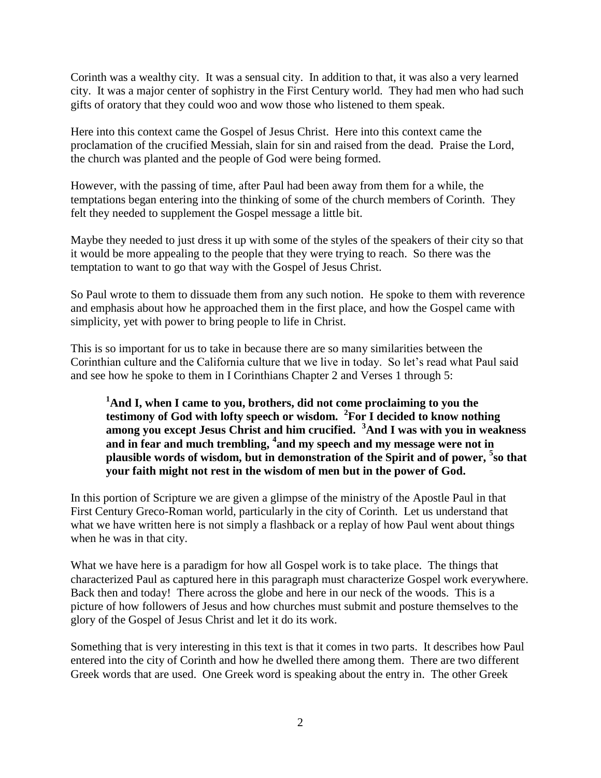Corinth was a wealthy city. It was a sensual city. In addition to that, it was also a very learned city. It was a major center of sophistry in the First Century world. They had men who had such gifts of oratory that they could woo and wow those who listened to them speak.

Here into this context came the Gospel of Jesus Christ. Here into this context came the proclamation of the crucified Messiah, slain for sin and raised from the dead. Praise the Lord, the church was planted and the people of God were being formed.

However, with the passing of time, after Paul had been away from them for a while, the temptations began entering into the thinking of some of the church members of Corinth. They felt they needed to supplement the Gospel message a little bit.

Maybe they needed to just dress it up with some of the styles of the speakers of their city so that it would be more appealing to the people that they were trying to reach. So there was the temptation to want to go that way with the Gospel of Jesus Christ.

So Paul wrote to them to dissuade them from any such notion. He spoke to them with reverence and emphasis about how he approached them in the first place, and how the Gospel came with simplicity, yet with power to bring people to life in Christ.

This is so important for us to take in because there are so many similarities between the Corinthian culture and the California culture that we live in today. So let's read what Paul said and see how he spoke to them in I Corinthians Chapter 2 and Verses 1 through 5:

**<sup>1</sup>And I, when I came to you, brothers, did not come proclaiming to you the testimony of God with lofty speech or wisdom. <sup>2</sup> For I decided to know nothing among you except Jesus Christ and him crucified. <sup>3</sup>And I was with you in weakness and in fear and much trembling, <sup>4</sup> and my speech and my message were not in plausible words of wisdom, but in demonstration of the Spirit and of power, <sup>5</sup> so that your faith might not rest in the wisdom of men but in the power of God.**

In this portion of Scripture we are given a glimpse of the ministry of the Apostle Paul in that First Century Greco-Roman world, particularly in the city of Corinth. Let us understand that what we have written here is not simply a flashback or a replay of how Paul went about things when he was in that city.

What we have here is a paradigm for how all Gospel work is to take place. The things that characterized Paul as captured here in this paragraph must characterize Gospel work everywhere. Back then and today! There across the globe and here in our neck of the woods. This is a picture of how followers of Jesus and how churches must submit and posture themselves to the glory of the Gospel of Jesus Christ and let it do its work.

Something that is very interesting in this text is that it comes in two parts. It describes how Paul entered into the city of Corinth and how he dwelled there among them. There are two different Greek words that are used. One Greek word is speaking about the entry in. The other Greek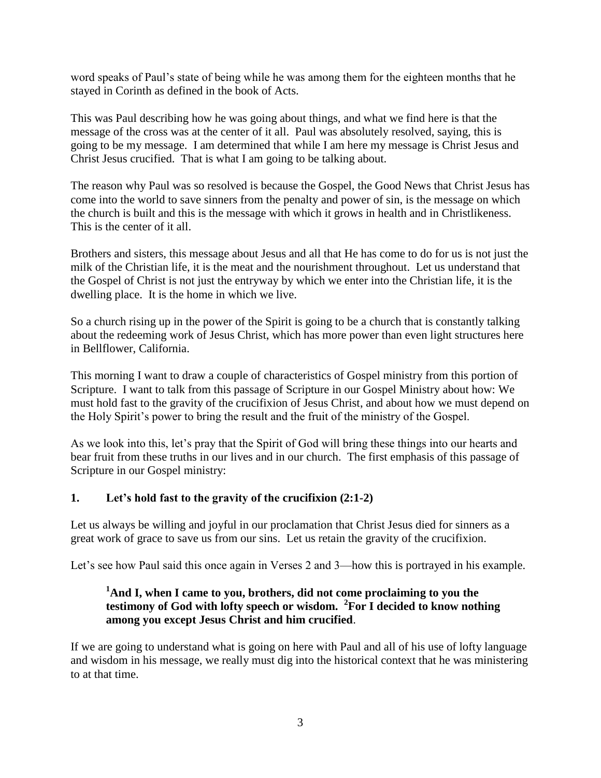word speaks of Paul's state of being while he was among them for the eighteen months that he stayed in Corinth as defined in the book of Acts.

This was Paul describing how he was going about things, and what we find here is that the message of the cross was at the center of it all. Paul was absolutely resolved, saying, this is going to be my message. I am determined that while I am here my message is Christ Jesus and Christ Jesus crucified. That is what I am going to be talking about.

The reason why Paul was so resolved is because the Gospel, the Good News that Christ Jesus has come into the world to save sinners from the penalty and power of sin, is the message on which the church is built and this is the message with which it grows in health and in Christlikeness. This is the center of it all.

Brothers and sisters, this message about Jesus and all that He has come to do for us is not just the milk of the Christian life, it is the meat and the nourishment throughout. Let us understand that the Gospel of Christ is not just the entryway by which we enter into the Christian life, it is the dwelling place. It is the home in which we live.

So a church rising up in the power of the Spirit is going to be a church that is constantly talking about the redeeming work of Jesus Christ, which has more power than even light structures here in Bellflower, California.

This morning I want to draw a couple of characteristics of Gospel ministry from this portion of Scripture. I want to talk from this passage of Scripture in our Gospel Ministry about how: We must hold fast to the gravity of the crucifixion of Jesus Christ, and about how we must depend on the Holy Spirit's power to bring the result and the fruit of the ministry of the Gospel.

As we look into this, let's pray that the Spirit of God will bring these things into our hearts and bear fruit from these truths in our lives and in our church. The first emphasis of this passage of Scripture in our Gospel ministry:

## **1. Let's hold fast to the gravity of the crucifixion (2:1-2)**

Let us always be willing and joyful in our proclamation that Christ Jesus died for sinners as a great work of grace to save us from our sins. Let us retain the gravity of the crucifixion.

Let's see how Paul said this once again in Verses 2 and 3—how this is portrayed in his example.

# **<sup>1</sup>And I, when I came to you, brothers, did not come proclaiming to you the testimony of God with lofty speech or wisdom. <sup>2</sup> For I decided to know nothing among you except Jesus Christ and him crucified**.

If we are going to understand what is going on here with Paul and all of his use of lofty language and wisdom in his message, we really must dig into the historical context that he was ministering to at that time.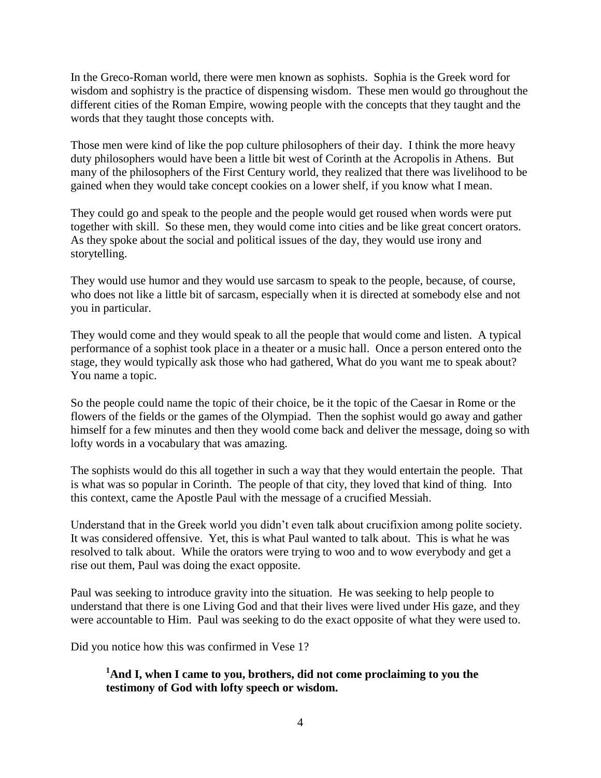In the Greco-Roman world, there were men known as sophists. Sophia is the Greek word for wisdom and sophistry is the practice of dispensing wisdom. These men would go throughout the different cities of the Roman Empire, wowing people with the concepts that they taught and the words that they taught those concepts with.

Those men were kind of like the pop culture philosophers of their day. I think the more heavy duty philosophers would have been a little bit west of Corinth at the Acropolis in Athens. But many of the philosophers of the First Century world, they realized that there was livelihood to be gained when they would take concept cookies on a lower shelf, if you know what I mean.

They could go and speak to the people and the people would get roused when words were put together with skill. So these men, they would come into cities and be like great concert orators. As they spoke about the social and political issues of the day, they would use irony and storytelling.

They would use humor and they would use sarcasm to speak to the people, because, of course, who does not like a little bit of sarcasm, especially when it is directed at somebody else and not you in particular.

They would come and they would speak to all the people that would come and listen. A typical performance of a sophist took place in a theater or a music hall. Once a person entered onto the stage, they would typically ask those who had gathered, What do you want me to speak about? You name a topic.

So the people could name the topic of their choice, be it the topic of the Caesar in Rome or the flowers of the fields or the games of the Olympiad. Then the sophist would go away and gather himself for a few minutes and then they woold come back and deliver the message, doing so with lofty words in a vocabulary that was amazing.

The sophists would do this all together in such a way that they would entertain the people. That is what was so popular in Corinth. The people of that city, they loved that kind of thing. Into this context, came the Apostle Paul with the message of a crucified Messiah.

Understand that in the Greek world you didn't even talk about crucifixion among polite society. It was considered offensive. Yet, this is what Paul wanted to talk about. This is what he was resolved to talk about. While the orators were trying to woo and to wow everybody and get a rise out them, Paul was doing the exact opposite.

Paul was seeking to introduce gravity into the situation. He was seeking to help people to understand that there is one Living God and that their lives were lived under His gaze, and they were accountable to Him. Paul was seeking to do the exact opposite of what they were used to.

Did you notice how this was confirmed in Vese 1?

# **<sup>1</sup>And I, when I came to you, brothers, did not come proclaiming to you the testimony of God with lofty speech or wisdom.**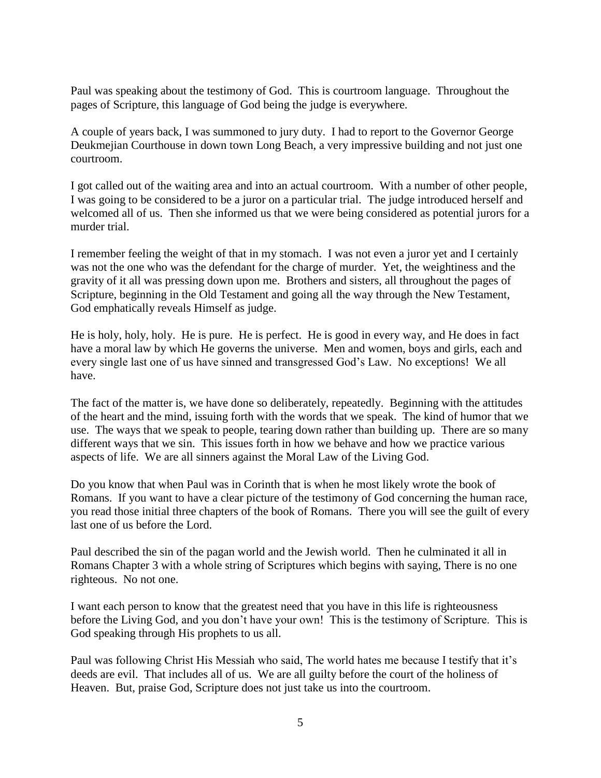Paul was speaking about the testimony of God. This is courtroom language. Throughout the pages of Scripture, this language of God being the judge is everywhere.

A couple of years back, I was summoned to jury duty. I had to report to the Governor George Deukmejian Courthouse in down town Long Beach, a very impressive building and not just one courtroom.

I got called out of the waiting area and into an actual courtroom. With a number of other people, I was going to be considered to be a juror on a particular trial. The judge introduced herself and welcomed all of us. Then she informed us that we were being considered as potential jurors for a murder trial.

I remember feeling the weight of that in my stomach. I was not even a juror yet and I certainly was not the one who was the defendant for the charge of murder. Yet, the weightiness and the gravity of it all was pressing down upon me. Brothers and sisters, all throughout the pages of Scripture, beginning in the Old Testament and going all the way through the New Testament, God emphatically reveals Himself as judge.

He is holy, holy, holy. He is pure. He is perfect. He is good in every way, and He does in fact have a moral law by which He governs the universe. Men and women, boys and girls, each and every single last one of us have sinned and transgressed God's Law. No exceptions! We all have.

The fact of the matter is, we have done so deliberately, repeatedly. Beginning with the attitudes of the heart and the mind, issuing forth with the words that we speak. The kind of humor that we use. The ways that we speak to people, tearing down rather than building up. There are so many different ways that we sin. This issues forth in how we behave and how we practice various aspects of life. We are all sinners against the Moral Law of the Living God.

Do you know that when Paul was in Corinth that is when he most likely wrote the book of Romans. If you want to have a clear picture of the testimony of God concerning the human race, you read those initial three chapters of the book of Romans. There you will see the guilt of every last one of us before the Lord.

Paul described the sin of the pagan world and the Jewish world. Then he culminated it all in Romans Chapter 3 with a whole string of Scriptures which begins with saying, There is no one righteous. No not one.

I want each person to know that the greatest need that you have in this life is righteousness before the Living God, and you don't have your own! This is the testimony of Scripture. This is God speaking through His prophets to us all.

Paul was following Christ His Messiah who said, The world hates me because I testify that it's deeds are evil. That includes all of us. We are all guilty before the court of the holiness of Heaven. But, praise God, Scripture does not just take us into the courtroom.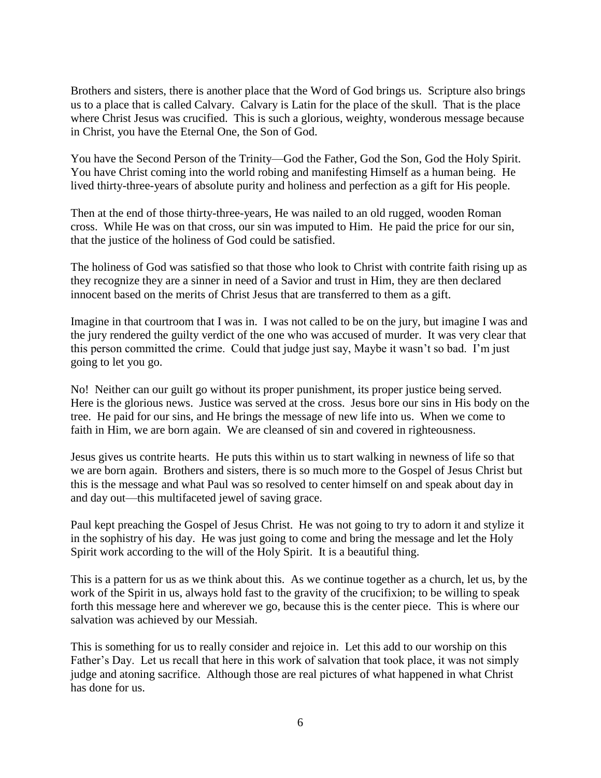Brothers and sisters, there is another place that the Word of God brings us. Scripture also brings us to a place that is called Calvary. Calvary is Latin for the place of the skull. That is the place where Christ Jesus was crucified. This is such a glorious, weighty, wonderous message because in Christ, you have the Eternal One, the Son of God.

You have the Second Person of the Trinity—God the Father, God the Son, God the Holy Spirit. You have Christ coming into the world robing and manifesting Himself as a human being. He lived thirty-three-years of absolute purity and holiness and perfection as a gift for His people.

Then at the end of those thirty-three-years, He was nailed to an old rugged, wooden Roman cross. While He was on that cross, our sin was imputed to Him. He paid the price for our sin, that the justice of the holiness of God could be satisfied.

The holiness of God was satisfied so that those who look to Christ with contrite faith rising up as they recognize they are a sinner in need of a Savior and trust in Him, they are then declared innocent based on the merits of Christ Jesus that are transferred to them as a gift.

Imagine in that courtroom that I was in. I was not called to be on the jury, but imagine I was and the jury rendered the guilty verdict of the one who was accused of murder. It was very clear that this person committed the crime. Could that judge just say, Maybe it wasn't so bad. I'm just going to let you go.

No! Neither can our guilt go without its proper punishment, its proper justice being served. Here is the glorious news. Justice was served at the cross. Jesus bore our sins in His body on the tree. He paid for our sins, and He brings the message of new life into us. When we come to faith in Him, we are born again. We are cleansed of sin and covered in righteousness.

Jesus gives us contrite hearts. He puts this within us to start walking in newness of life so that we are born again. Brothers and sisters, there is so much more to the Gospel of Jesus Christ but this is the message and what Paul was so resolved to center himself on and speak about day in and day out—this multifaceted jewel of saving grace.

Paul kept preaching the Gospel of Jesus Christ. He was not going to try to adorn it and stylize it in the sophistry of his day. He was just going to come and bring the message and let the Holy Spirit work according to the will of the Holy Spirit. It is a beautiful thing.

This is a pattern for us as we think about this. As we continue together as a church, let us, by the work of the Spirit in us, always hold fast to the gravity of the crucifixion; to be willing to speak forth this message here and wherever we go, because this is the center piece. This is where our salvation was achieved by our Messiah.

This is something for us to really consider and rejoice in. Let this add to our worship on this Father's Day. Let us recall that here in this work of salvation that took place, it was not simply judge and atoning sacrifice. Although those are real pictures of what happened in what Christ has done for us.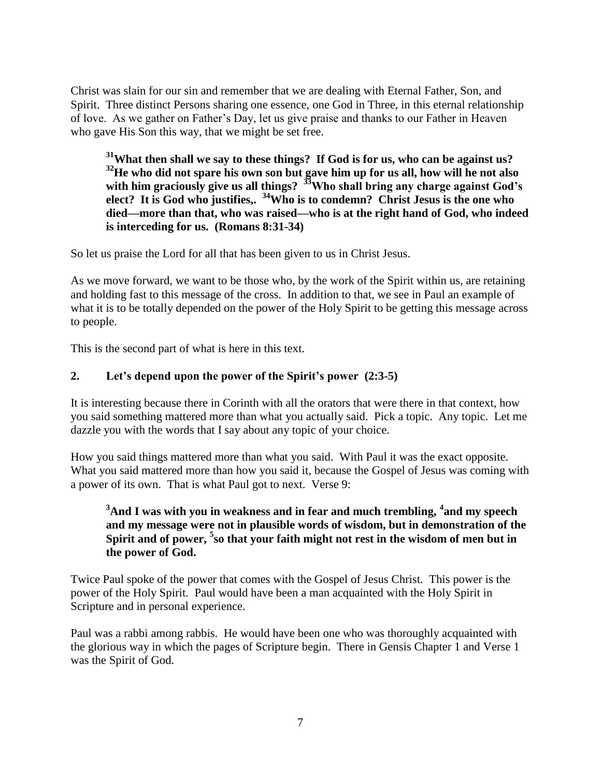Christ was slain for our sin and remember that we are dealing with Eternal Father, Son, and Spirit. Three distinct Persons sharing one essence, one God in Three, in this eternal relationship of love. As we gather on Father's Day, let us give praise and thanks to our Father in Heaven who gave His Son this way, that we might be set free.

**<sup>31</sup>What then shall we say to these things? If God is for us, who can be against us? <sup>32</sup>He who did not spare his own son but gave him up for us all, how will he not also with him graciously give us all things? <sup>33</sup>Who shall bring any charge against God's elect? It is God who justifies,. <sup>34</sup>Who is to condemn? Christ Jesus is the one who died—more than that, who was raised—who is at the right hand of God, who indeed is interceding for us. (Romans 8:31-34)**

So let us praise the Lord for all that has been given to us in Christ Jesus.

As we move forward, we want to be those who, by the work of the Spirit within us, are retaining and holding fast to this message of the cross. In addition to that, we see in Paul an example of what it is to be totally depended on the power of the Holy Spirit to be getting this message across to people.

This is the second part of what is here in this text.

## **2. Let's depend upon the power of the Spirit's power (2:3-5)**

It is interesting because there in Corinth with all the orators that were there in that context, how you said something mattered more than what you actually said. Pick a topic. Any topic. Let me dazzle you with the words that I say about any topic of your choice.

How you said things mattered more than what you said. With Paul it was the exact opposite. What you said mattered more than how you said it, because the Gospel of Jesus was coming with a power of its own. That is what Paul got to next. Verse 9:

## **<sup>3</sup>And I was with you in weakness and in fear and much trembling, <sup>4</sup> and my speech and my message were not in plausible words of wisdom, but in demonstration of the**  Spirit and of power, <sup>5</sup> so that your faith might not rest in the wisdom of men but in **the power of God.**

Twice Paul spoke of the power that comes with the Gospel of Jesus Christ. This power is the power of the Holy Spirit. Paul would have been a man acquainted with the Holy Spirit in Scripture and in personal experience.

Paul was a rabbi among rabbis. He would have been one who was thoroughly acquainted with the glorious way in which the pages of Scripture begin. There in Gensis Chapter 1 and Verse 1 was the Spirit of God.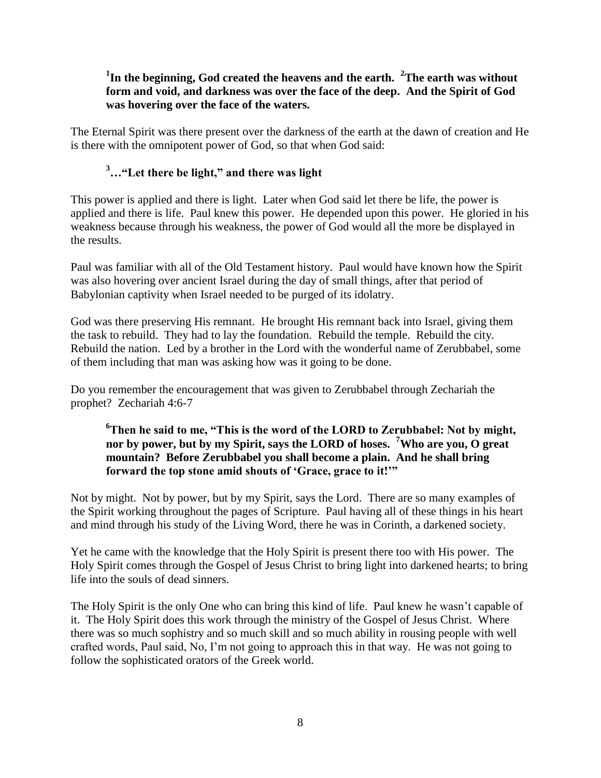# **1 In the beginning, God created the heavens and the earth. <sup>2</sup>The earth was without form and void, and darkness was over the face of the deep. And the Spirit of God was hovering over the face of the waters.**

The Eternal Spirit was there present over the darkness of the earth at the dawn of creation and He is there with the omnipotent power of God, so that when God said:

# **<sup>3</sup>…"Let there be light," and there was light**

This power is applied and there is light. Later when God said let there be life, the power is applied and there is life. Paul knew this power. He depended upon this power. He gloried in his weakness because through his weakness, the power of God would all the more be displayed in the results.

Paul was familiar with all of the Old Testament history. Paul would have known how the Spirit was also hovering over ancient Israel during the day of small things, after that period of Babylonian captivity when Israel needed to be purged of its idolatry.

God was there preserving His remnant. He brought His remnant back into Israel, giving them the task to rebuild. They had to lay the foundation. Rebuild the temple. Rebuild the city. Rebuild the nation. Led by a brother in the Lord with the wonderful name of Zerubbabel, some of them including that man was asking how was it going to be done.

Do you remember the encouragement that was given to Zerubbabel through Zechariah the prophet? Zechariah 4:6-7

## **<sup>6</sup>Then he said to me, "This is the word of the LORD to Zerubbabel: Not by might, nor by power, but by my Spirit, says the LORD of hoses. <sup>7</sup>Who are you, O great mountain? Before Zerubbabel you shall become a plain. And he shall bring forward the top stone amid shouts of 'Grace, grace to it!'"**

Not by might. Not by power, but by my Spirit, says the Lord. There are so many examples of the Spirit working throughout the pages of Scripture. Paul having all of these things in his heart and mind through his study of the Living Word, there he was in Corinth, a darkened society.

Yet he came with the knowledge that the Holy Spirit is present there too with His power. The Holy Spirit comes through the Gospel of Jesus Christ to bring light into darkened hearts; to bring life into the souls of dead sinners.

The Holy Spirit is the only One who can bring this kind of life. Paul knew he wasn't capable of it. The Holy Spirit does this work through the ministry of the Gospel of Jesus Christ. Where there was so much sophistry and so much skill and so much ability in rousing people with well crafted words, Paul said, No, I'm not going to approach this in that way. He was not going to follow the sophisticated orators of the Greek world.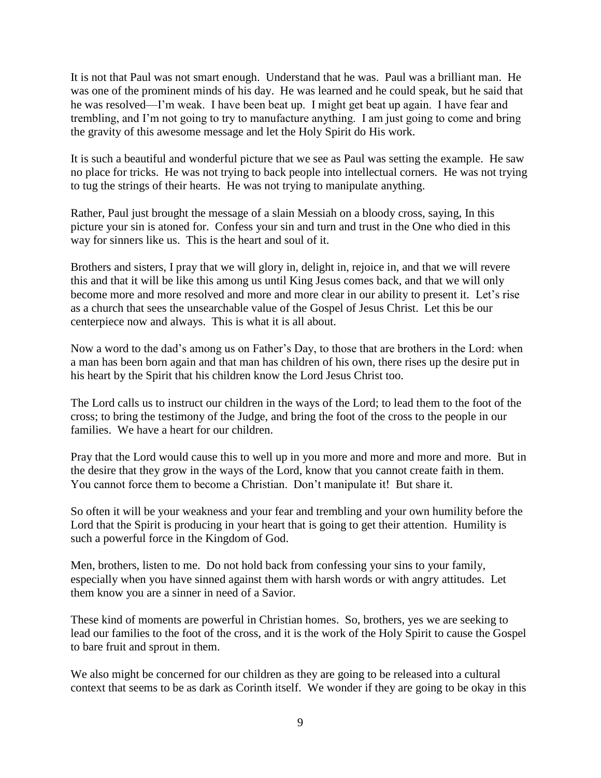It is not that Paul was not smart enough. Understand that he was. Paul was a brilliant man. He was one of the prominent minds of his day. He was learned and he could speak, but he said that he was resolved—I'm weak. I have been beat up. I might get beat up again. I have fear and trembling, and I'm not going to try to manufacture anything. I am just going to come and bring the gravity of this awesome message and let the Holy Spirit do His work.

It is such a beautiful and wonderful picture that we see as Paul was setting the example. He saw no place for tricks. He was not trying to back people into intellectual corners. He was not trying to tug the strings of their hearts. He was not trying to manipulate anything.

Rather, Paul just brought the message of a slain Messiah on a bloody cross, saying, In this picture your sin is atoned for. Confess your sin and turn and trust in the One who died in this way for sinners like us. This is the heart and soul of it.

Brothers and sisters, I pray that we will glory in, delight in, rejoice in, and that we will revere this and that it will be like this among us until King Jesus comes back, and that we will only become more and more resolved and more and more clear in our ability to present it. Let's rise as a church that sees the unsearchable value of the Gospel of Jesus Christ. Let this be our centerpiece now and always. This is what it is all about.

Now a word to the dad's among us on Father's Day, to those that are brothers in the Lord: when a man has been born again and that man has children of his own, there rises up the desire put in his heart by the Spirit that his children know the Lord Jesus Christ too.

The Lord calls us to instruct our children in the ways of the Lord; to lead them to the foot of the cross; to bring the testimony of the Judge, and bring the foot of the cross to the people in our families. We have a heart for our children.

Pray that the Lord would cause this to well up in you more and more and more and more. But in the desire that they grow in the ways of the Lord, know that you cannot create faith in them. You cannot force them to become a Christian. Don't manipulate it! But share it.

So often it will be your weakness and your fear and trembling and your own humility before the Lord that the Spirit is producing in your heart that is going to get their attention. Humility is such a powerful force in the Kingdom of God.

Men, brothers, listen to me. Do not hold back from confessing your sins to your family, especially when you have sinned against them with harsh words or with angry attitudes. Let them know you are a sinner in need of a Savior.

These kind of moments are powerful in Christian homes. So, brothers, yes we are seeking to lead our families to the foot of the cross, and it is the work of the Holy Spirit to cause the Gospel to bare fruit and sprout in them.

We also might be concerned for our children as they are going to be released into a cultural context that seems to be as dark as Corinth itself. We wonder if they are going to be okay in this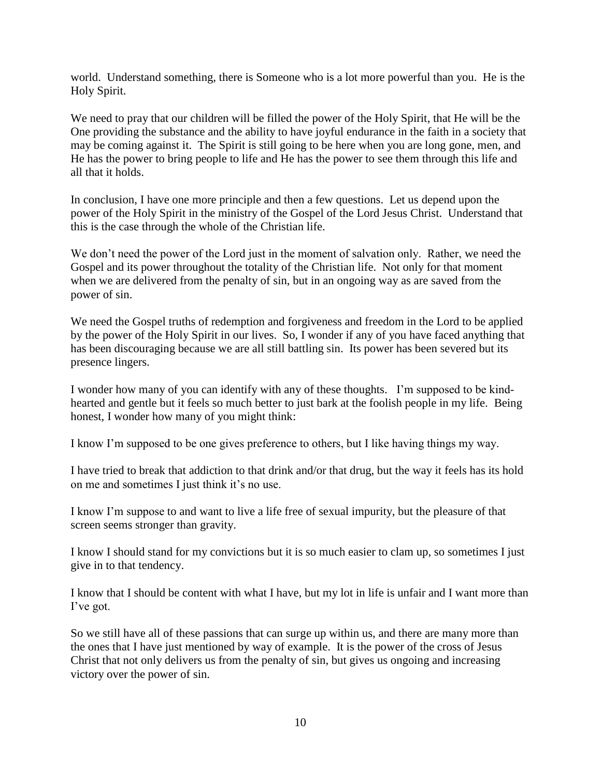world. Understand something, there is Someone who is a lot more powerful than you. He is the Holy Spirit.

We need to pray that our children will be filled the power of the Holy Spirit, that He will be the One providing the substance and the ability to have joyful endurance in the faith in a society that may be coming against it. The Spirit is still going to be here when you are long gone, men, and He has the power to bring people to life and He has the power to see them through this life and all that it holds.

In conclusion, I have one more principle and then a few questions. Let us depend upon the power of the Holy Spirit in the ministry of the Gospel of the Lord Jesus Christ. Understand that this is the case through the whole of the Christian life.

We don't need the power of the Lord just in the moment of salvation only. Rather, we need the Gospel and its power throughout the totality of the Christian life. Not only for that moment when we are delivered from the penalty of sin, but in an ongoing way as are saved from the power of sin.

We need the Gospel truths of redemption and forgiveness and freedom in the Lord to be applied by the power of the Holy Spirit in our lives. So, I wonder if any of you have faced anything that has been discouraging because we are all still battling sin. Its power has been severed but its presence lingers.

I wonder how many of you can identify with any of these thoughts. I'm supposed to be kindhearted and gentle but it feels so much better to just bark at the foolish people in my life. Being honest, I wonder how many of you might think:

I know I'm supposed to be one gives preference to others, but I like having things my way.

I have tried to break that addiction to that drink and/or that drug, but the way it feels has its hold on me and sometimes I just think it's no use.

I know I'm suppose to and want to live a life free of sexual impurity, but the pleasure of that screen seems stronger than gravity.

I know I should stand for my convictions but it is so much easier to clam up, so sometimes I just give in to that tendency.

I know that I should be content with what I have, but my lot in life is unfair and I want more than I've got.

So we still have all of these passions that can surge up within us, and there are many more than the ones that I have just mentioned by way of example. It is the power of the cross of Jesus Christ that not only delivers us from the penalty of sin, but gives us ongoing and increasing victory over the power of sin.